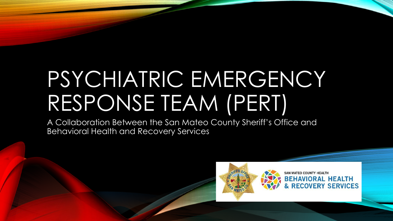# PSYCHIATRIC EMERGENCY RESPONSE TEAM (PERT)

A Collaboration Between the San Mateo County Sheriff's Office and Behavioral Health and Recovery Services

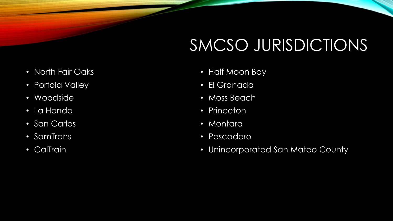# SMCSO JURISDICTIONS

- North Fair Oaks
- Portola Valley
- Woodside
- La Honda
- San Carlos
- SamTrans
- CalTrain
- Half Moon Bay
- El Granada
- Moss Beach
- Princeton
- Montara
- Pescadero
- Unincorporated San Mateo County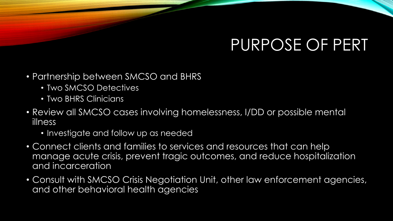## PURPOSE OF PERT

- Partnership between SMCSO and BHRS
	- Two SMCSO Detectives
	- Two BHRS Clinicians
- Review all SMCSO cases involving homelessness, I/DD or possible mental illness
	- Investigate and follow up as needed
- Connect clients and families to services and resources that can help manage acute crisis, prevent tragic outcomes, and reduce hospitalization and incarceration
- Consult with SMCSO Crisis Negotiation Unit, other law enforcement agencies, and other behavioral health agencies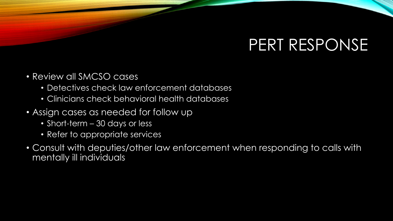### PERT RESPONSE

- Review all SMCSO cases
	- Detectives check law enforcement databases
	- Clinicians check behavioral health databases
- Assign cases as needed for follow up
	- Short-term 30 days or less
	- Refer to appropriate services
- Consult with deputies/other law enforcement when responding to calls with mentally ill individuals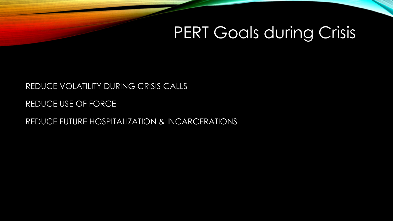### PERT Goals during Crisis

#### REDUCE VOLATILITY DURING CRISIS CALLS

REDUCE USE OF FORCE

REDUCE FUTURE HOSPITALIZATION & INCARCERATIONS